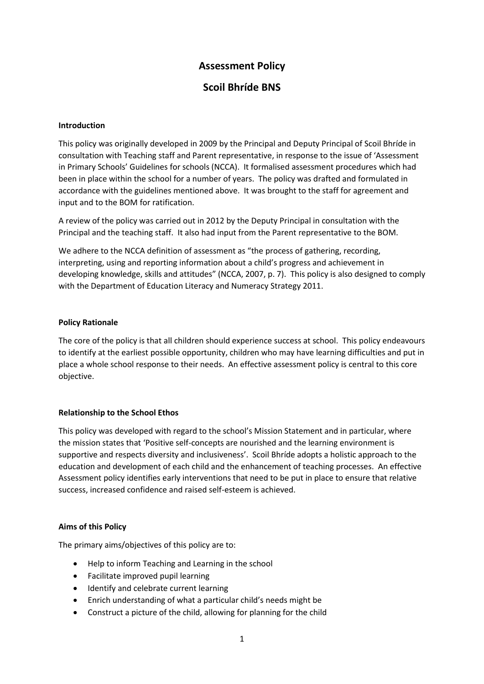# **Assessment Policy**

# **Scoil Bhríde BNS**

#### **Introduction**

This policy was originally developed in 2009 by the Principal and Deputy Principal of Scoil Bhríde in consultation with Teaching staff and Parent representative, in response to the issue of 'Assessment in Primary Schools' Guidelines for schools (NCCA). It formalised assessment procedures which had been in place within the school for a number of years. The policy was drafted and formulated in accordance with the guidelines mentioned above. It was brought to the staff for agreement and input and to the BOM for ratification.

A review of the policy was carried out in 2012 by the Deputy Principal in consultation with the Principal and the teaching staff. It also had input from the Parent representative to the BOM.

We adhere to the NCCA definition of assessment as "the process of gathering, recording, interpreting, using and reporting information about a child's progress and achievement in developing knowledge, skills and attitudes" (NCCA, 2007, p. 7). This policy is also designed to comply with the Department of Education Literacy and Numeracy Strategy 2011.

#### **Policy Rationale**

The core of the policy is that all children should experience success at school. This policy endeavours to identify at the earliest possible opportunity, children who may have learning difficulties and put in place a whole school response to their needs. An effective assessment policy is central to this core objective.

# **Relationship to the School Ethos**

This policy was developed with regard to the school's Mission Statement and in particular, where the mission states that 'Positive self-concepts are nourished and the learning environment is supportive and respects diversity and inclusiveness'. Scoil Bhríde adopts a holistic approach to the education and development of each child and the enhancement of teaching processes. An effective Assessment policy identifies early interventions that need to be put in place to ensure that relative success, increased confidence and raised self-esteem is achieved.

#### **Aims of this Policy**

The primary aims/objectives of this policy are to:

- Help to inform Teaching and Learning in the school
- Facilitate improved pupil learning
- Identify and celebrate current learning
- Enrich understanding of what a particular child's needs might be
- Construct a picture of the child, allowing for planning for the child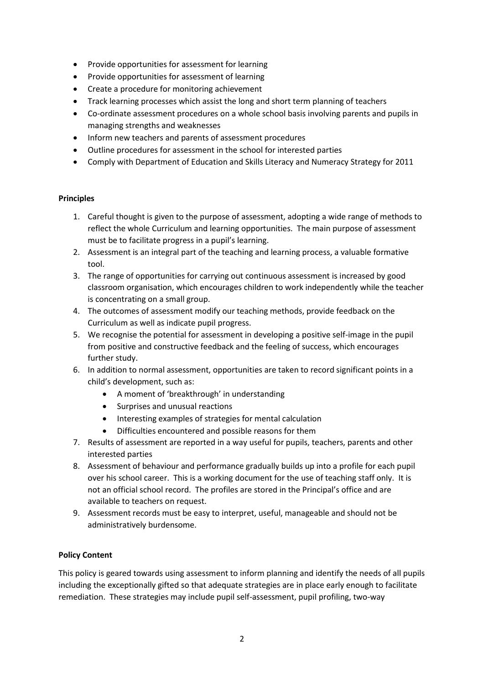- Provide opportunities for assessment for learning
- Provide opportunities for assessment of learning
- Create a procedure for monitoring achievement
- Track learning processes which assist the long and short term planning of teachers
- Co-ordinate assessment procedures on a whole school basis involving parents and pupils in managing strengths and weaknesses
- Inform new teachers and parents of assessment procedures
- Outline procedures for assessment in the school for interested parties
- Comply with Department of Education and Skills Literacy and Numeracy Strategy for 2011

#### **Principles**

- 1. Careful thought is given to the purpose of assessment, adopting a wide range of methods to reflect the whole Curriculum and learning opportunities. The main purpose of assessment must be to facilitate progress in a pupil's learning.
- 2. Assessment is an integral part of the teaching and learning process, a valuable formative tool.
- 3. The range of opportunities for carrying out continuous assessment is increased by good classroom organisation, which encourages children to work independently while the teacher is concentrating on a small group.
- 4. The outcomes of assessment modify our teaching methods, provide feedback on the Curriculum as well as indicate pupil progress.
- 5. We recognise the potential for assessment in developing a positive self-image in the pupil from positive and constructive feedback and the feeling of success, which encourages further study.
- 6. In addition to normal assessment, opportunities are taken to record significant points in a child's development, such as:
	- A moment of 'breakthrough' in understanding
	- Surprises and unusual reactions
	- Interesting examples of strategies for mental calculation
	- Difficulties encountered and possible reasons for them
- 7. Results of assessment are reported in a way useful for pupils, teachers, parents and other interested parties
- 8. Assessment of behaviour and performance gradually builds up into a profile for each pupil over his school career. This is a working document for the use of teaching staff only. It is not an official school record. The profiles are stored in the Principal's office and are available to teachers on request.
- 9. Assessment records must be easy to interpret, useful, manageable and should not be administratively burdensome.

# **Policy Content**

This policy is geared towards using assessment to inform planning and identify the needs of all pupils including the exceptionally gifted so that adequate strategies are in place early enough to facilitate remediation. These strategies may include pupil self-assessment, pupil profiling, two-way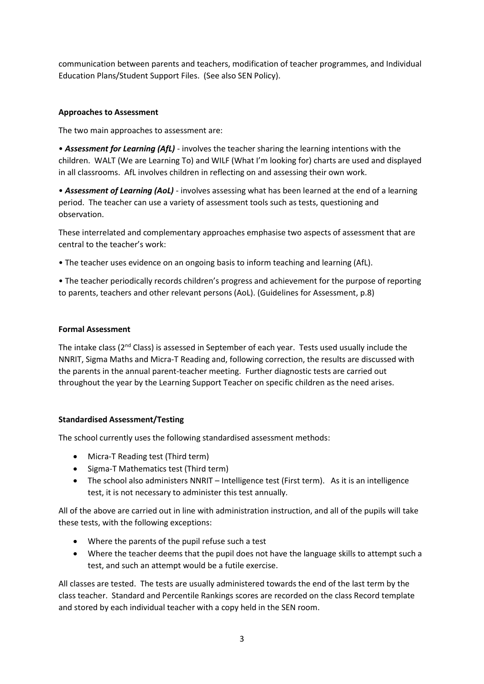communication between parents and teachers, modification of teacher programmes, and Individual Education Plans/Student Support Files. (See also SEN Policy).

### **Approaches to Assessment**

The two main approaches to assessment are:

• *Assessment for Learning (AfL)* - involves the teacher sharing the learning intentions with the children. WALT (We are Learning To) and WILF (What I'm looking for) charts are used and displayed in all classrooms. AfL involves children in reflecting on and assessing their own work.

• *Assessment of Learning (AoL)* - involves assessing what has been learned at the end of a learning period. The teacher can use a variety of assessment tools such as tests, questioning and observation.

These interrelated and complementary approaches emphasise two aspects of assessment that are central to the teacher's work:

• The teacher uses evidence on an ongoing basis to inform teaching and learning (AfL).

• The teacher periodically records children's progress and achievement for the purpose of reporting to parents, teachers and other relevant persons (AoL). (Guidelines for Assessment, p.8)

#### **Formal Assessment**

The intake class (2<sup>nd</sup> Class) is assessed in September of each year. Tests used usually include the NNRIT, Sigma Maths and Micra-T Reading and, following correction, the results are discussed with the parents in the annual parent-teacher meeting. Further diagnostic tests are carried out throughout the year by the Learning Support Teacher on specific children as the need arises.

# **Standardised Assessment/Testing**

The school currently uses the following standardised assessment methods:

- Micra-T Reading test (Third term)
- Sigma-T Mathematics test (Third term)
- The school also administers NNRIT Intelligence test (First term). As it is an intelligence test, it is not necessary to administer this test annually.

All of the above are carried out in line with administration instruction, and all of the pupils will take these tests, with the following exceptions:

- Where the parents of the pupil refuse such a test
- Where the teacher deems that the pupil does not have the language skills to attempt such a test, and such an attempt would be a futile exercise.

All classes are tested. The tests are usually administered towards the end of the last term by the class teacher. Standard and Percentile Rankings scores are recorded on the class Record template and stored by each individual teacher with a copy held in the SEN room.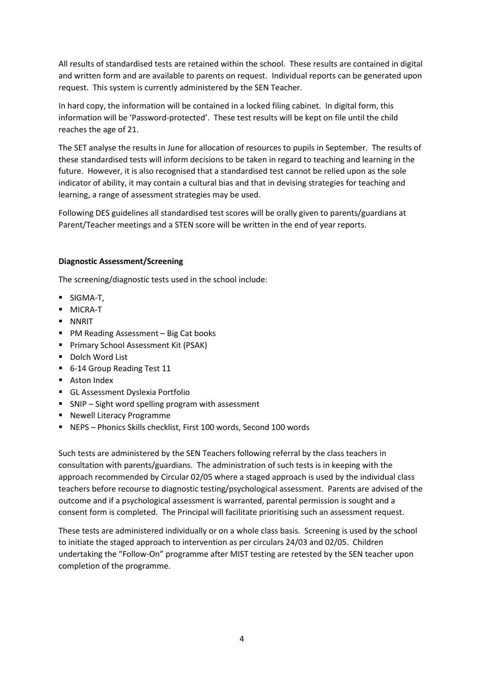All results of standardised tests are retained within the school. These results are contained in digital and written form and are available to parents on request. Individual reports can be generated upon request. This system is currently administered by the SEN Teacher.

In hard copy, the information will be contained in a locked filing cabinet. In digital form, this information will be 'Password-protected'. These test results will be kept on file until the child reaches the age of 21.

The SET analyse the results in June for allocation of resources to pupils in September. The results of these standardised tests will inform decisions to be taken in regard to teaching and learning in the future. However, it is also recognised that a standardised test cannot be relied upon as the sole indicator of ability, it may contain a cultural bias and that in devising strategies for teaching and learning, a range of assessment strategies may be used.

Following DES guidelines all standardised test scores will be orally given to parents/guardians at Parent/Teacher meetings and a STEN score will be written in the end of year reports.

#### **Diagnostic Assessment/Screening**

The screening/diagnostic tests used in the school include:

- SIGMA-T,
- MICRA-T
- NNRIT
- PM Reading Assessment Big Cat books
- **·** Primary School Assessment Kit (PSAK)
- Dolch Word List
- 6-14 Group Reading Test 11
- Aston Index
- **E** GL Assessment Dyslexia Portfolio
- SNIP Sight word spelling program with assessment
- Newell Literacy Programme
- NEPS Phonics Skills checklist, First 100 words, Second 100 words

Such tests are administered by the SEN Teachers following referral by the class teachers in consultation with parents/guardians. The administration of such tests is in keeping with the approach recommended by Circular 02/05 where a staged approach is used by the individual class teachers before recourse to diagnostic testing/psychological assessment. Parents are advised of the outcome and if a psychological assessment is warranted, parental permission is sought and a consent form is completed. The Principal will facilitate prioritising such an assessment request.

These tests are administered individually or on a whole class basis. Screening is used by the school to initiate the staged approach to intervention as per circulars 24/03 and 02/05. Children undertaking the "Follow-On" programme after MIST testing are retested by the SEN teacher upon completion of the programme.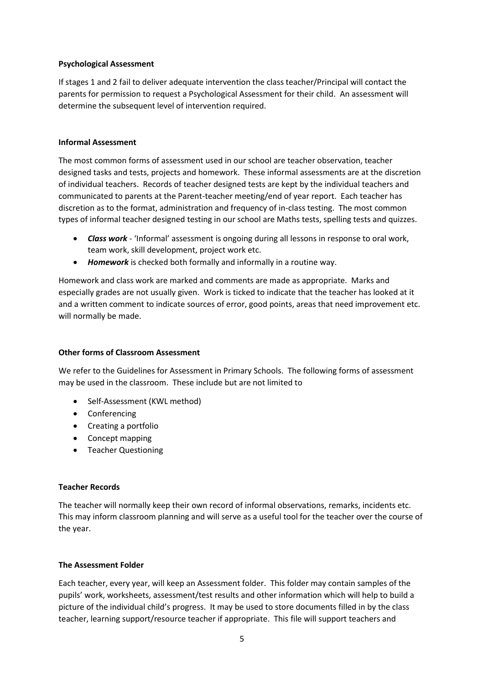#### **Psychological Assessment**

If stages 1 and 2 fail to deliver adequate intervention the class teacher/Principal will contact the parents for permission to request a Psychological Assessment for their child. An assessment will determine the subsequent level of intervention required.

#### **Informal Assessment**

The most common forms of assessment used in our school are teacher observation, teacher designed tasks and tests, projects and homework. These informal assessments are at the discretion of individual teachers. Records of teacher designed tests are kept by the individual teachers and communicated to parents at the Parent-teacher meeting/end of year report. Each teacher has discretion as to the format, administration and frequency of in-class testing. The most common types of informal teacher designed testing in our school are Maths tests, spelling tests and quizzes.

- *Class work* 'Informal' assessment is ongoing during all lessons in response to oral work, team work, skill development, project work etc.
- *Homework* is checked both formally and informally in a routine way.

Homework and class work are marked and comments are made as appropriate. Marks and especially grades are not usually given. Work is ticked to indicate that the teacher has looked at it and a written comment to indicate sources of error, good points, areas that need improvement etc. will normally be made.

#### **Other forms of Classroom Assessment**

We refer to the Guidelines for Assessment in Primary Schools. The following forms of assessment may be used in the classroom. These include but are not limited to

- Self-Assessment (KWL method)
- Conferencing
- Creating a portfolio
- Concept mapping
- Teacher Questioning

#### **Teacher Records**

The teacher will normally keep their own record of informal observations, remarks, incidents etc. This may inform classroom planning and will serve as a useful tool for the teacher over the course of the year.

#### **The Assessment Folder**

Each teacher, every year, will keep an Assessment folder. This folder may contain samples of the pupils' work, worksheets, assessment/test results and other information which will help to build a picture of the individual child's progress. It may be used to store documents filled in by the class teacher, learning support/resource teacher if appropriate. This file will support teachers and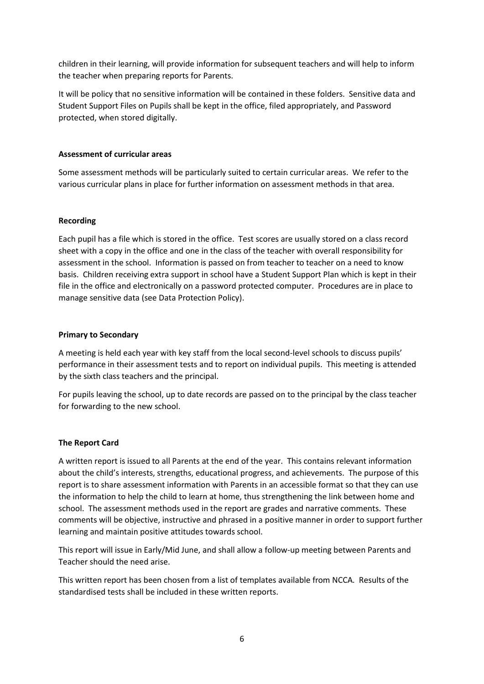children in their learning, will provide information for subsequent teachers and will help to inform the teacher when preparing reports for Parents.

It will be policy that no sensitive information will be contained in these folders. Sensitive data and Student Support Files on Pupils shall be kept in the office, filed appropriately, and Password protected, when stored digitally.

#### **Assessment of curricular areas**

Some assessment methods will be particularly suited to certain curricular areas. We refer to the various curricular plans in place for further information on assessment methods in that area.

#### **Recording**

Each pupil has a file which is stored in the office. Test scores are usually stored on a class record sheet with a copy in the office and one in the class of the teacher with overall responsibility for assessment in the school. Information is passed on from teacher to teacher on a need to know basis. Children receiving extra support in school have a Student Support Plan which is kept in their file in the office and electronically on a password protected computer. Procedures are in place to manage sensitive data (see Data Protection Policy).

#### **Primary to Secondary**

A meeting is held each year with key staff from the local second-level schools to discuss pupils' performance in their assessment tests and to report on individual pupils. This meeting is attended by the sixth class teachers and the principal.

For pupils leaving the school, up to date records are passed on to the principal by the class teacher for forwarding to the new school.

# **The Report Card**

A written report is issued to all Parents at the end of the year. This contains relevant information about the child's interests, strengths, educational progress, and achievements. The purpose of this report is to share assessment information with Parents in an accessible format so that they can use the information to help the child to learn at home, thus strengthening the link between home and school. The assessment methods used in the report are grades and narrative comments. These comments will be objective, instructive and phrased in a positive manner in order to support further learning and maintain positive attitudes towards school.

This report will issue in Early/Mid June, and shall allow a follow-up meeting between Parents and Teacher should the need arise.

This written report has been chosen from a list of templates available from NCCA. Results of the standardised tests shall be included in these written reports.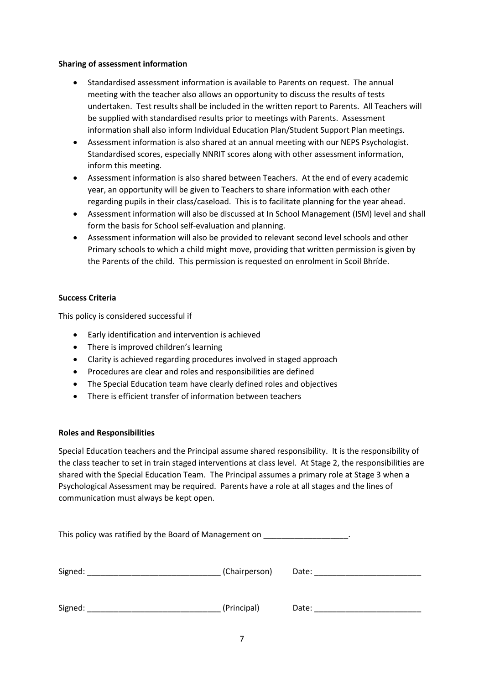#### **Sharing of assessment information**

- Standardised assessment information is available to Parents on request. The annual meeting with the teacher also allows an opportunity to discuss the results of tests undertaken. Test results shall be included in the written report to Parents. All Teachers will be supplied with standardised results prior to meetings with Parents. Assessment information shall also inform Individual Education Plan/Student Support Plan meetings.
- Assessment information is also shared at an annual meeting with our NEPS Psychologist. Standardised scores, especially NNRIT scores along with other assessment information, inform this meeting.
- Assessment information is also shared between Teachers. At the end of every academic year, an opportunity will be given to Teachers to share information with each other regarding pupils in their class/caseload. This is to facilitate planning for the year ahead.
- Assessment information will also be discussed at In School Management (ISM) level and shall form the basis for School self-evaluation and planning.
- Assessment information will also be provided to relevant second level schools and other Primary schools to which a child might move, providing that written permission is given by the Parents of the child. This permission is requested on enrolment in Scoil Bhríde.

# **Success Criteria**

This policy is considered successful if

- Early identification and intervention is achieved
- There is improved children's learning
- Clarity is achieved regarding procedures involved in staged approach
- Procedures are clear and roles and responsibilities are defined
- The Special Education team have clearly defined roles and objectives
- There is efficient transfer of information between teachers

#### **Roles and Responsibilities**

Special Education teachers and the Principal assume shared responsibility. It is the responsibility of the class teacher to set in train staged interventions at class level. At Stage 2, the responsibilities are shared with the Special Education Team. The Principal assumes a primary role at Stage 3 when a Psychological Assessment may be required. Parents have a role at all stages and the lines of communication must always be kept open.

| This policy was ratified by the Board of Management on      |               |       |
|-------------------------------------------------------------|---------------|-------|
| Signed:<br>the control of the control of the control of the | (Chairperson) | Date: |
| Signed:                                                     | (Principal)   | Date: |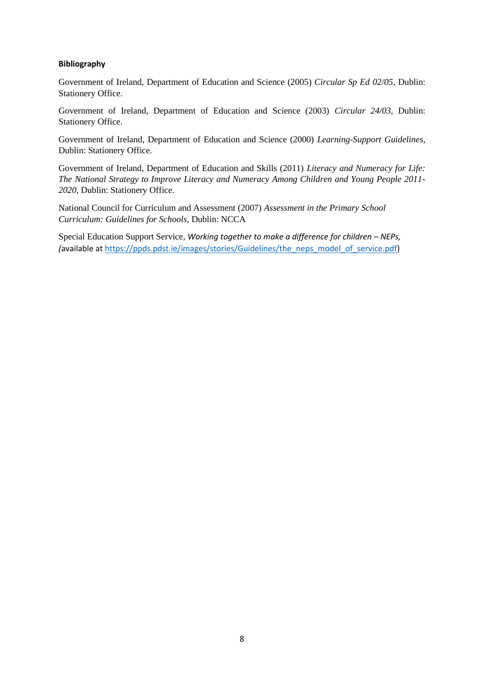#### **Bibliography**

Government of Ireland, Department of Education and Science (2005) *Circular Sp Ed 02/05*, Dublin: Stationery Office.

Government of Ireland, Department of Education and Science (2003) *Circular 24/03*, Dublin: Stationery Office.

Government of Ireland, Department of Education and Science (2000) *Learning-Support Guidelines*, Dublin: Stationery Office.

Government of Ireland, Department of Education and Skills (2011) *Literacy and Numeracy for Life: The National Strategy to Improve Literacy and Numeracy Among Children and Young People 2011- 2020*, Dublin: Stationery Office.

National Council for Curriculum and Assessment (2007) *Assessment in the Primary School Curriculum: Guidelines for Schools*, Dublin: NCCA

Special Education Support Service, *Working together to make a difference for children - NEPs, (*available at [https://ppds.pdst.ie/images/stories/Guidelines/the\\_neps\\_model\\_of\\_service.pdf\)](https://ppds.pdst.ie/images/stories/Guidelines/the_neps_model_of_service.pdf)